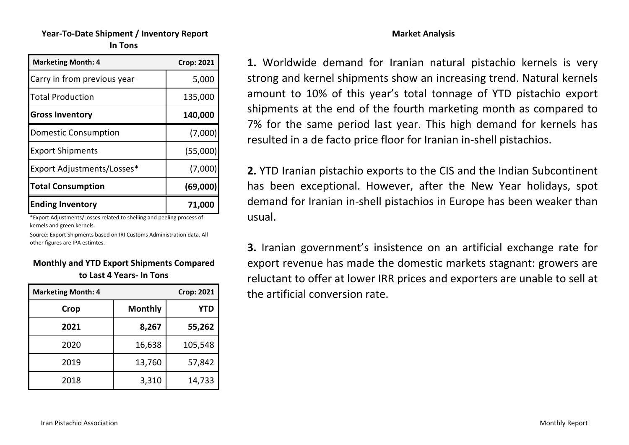# **Year‐To‐Date Shipment / Inventory Report In Tons**

| <b>Marketing Month: 4</b>   | <b>Crop: 2021</b> |
|-----------------------------|-------------------|
| Carry in from previous year | 5,000             |
| <b>Total Production</b>     | 135,000           |
| <b>Gross Inventory</b>      | 140,000           |
| <b>Domestic Consumption</b> | (7,000)           |
| <b>Export Shipments</b>     | (55,000)          |
| Export Adjustments/Losses*  | (7,000)           |
| <b>Total Consumption</b>    | (69,000)          |
| <b>Ending Inventory</b>     | 71,000            |

\*Export Adjustments/Losses related to shelling and peeling process of kernels and green kernels.

Source: Export Shipments based on IRI Customs Administration data. All other figures are IPA estimtes.

#### **Monthly and YTD Export Shipments Compared to Last 4 Years‐ In Tons**

| <b>Marketing Month: 4</b> |                | <b>Crop: 2021</b> |
|---------------------------|----------------|-------------------|
| Crop                      | <b>Monthly</b> | <b>YTD</b>        |
| 2021                      | 8,267          | 55,262            |
| 2020                      | 16,638         | 105,548           |
| 2019                      | 13,760         | 57,842            |
| 2018                      | 3,310          | 14,733            |

**1.** Worldwide demand for Iranian natural pistachio kernels is very strong and kernel shipments show an increasing trend. Natural kernels amount to 10% of this year's total tonnage of YTD pistachio export shipments at the end of the fourth marketing month as compared to 7% for the same period last year. This high demand for kernels has resulted in a de facto price floor for Iranian in‐shell pistachios.

**2.** YTD Iranian pistachio exports to the CIS and the Indian Subcontinent has been exceptional. However, after the New Year holidays, spot demand for Iranian in‐shell pistachios in Europe has been weaker than usual.

**3.** Iranian government's insistence on an artificial exchange rate for export revenue has made the domestic markets stagnant: growers are reluctant to offer at lower IRR prices and exporters are unable to sell at the artificial conversion rate.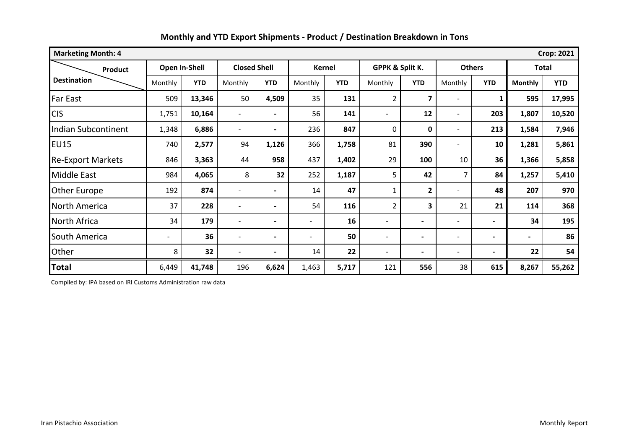| <b>Marketing Month: 4</b><br><b>Crop: 2021</b> |                          |               |                          |                          |                          |               |                              |                          |                          |                          |                |            |
|------------------------------------------------|--------------------------|---------------|--------------------------|--------------------------|--------------------------|---------------|------------------------------|--------------------------|--------------------------|--------------------------|----------------|------------|
| <b>Product</b>                                 |                          | Open In-Shell | <b>Closed Shell</b>      |                          |                          | <b>Kernel</b> | GPPK & Split K.              |                          | <b>Others</b>            |                          | <b>Total</b>   |            |
| <b>Destination</b>                             | Monthly                  | <b>YTD</b>    | Monthly                  | <b>YTD</b>               | Monthly                  | <b>YTD</b>    | Monthly                      | <b>YTD</b>               | Monthly                  | <b>YTD</b>               | <b>Monthly</b> | <b>YTD</b> |
| <b>Far East</b>                                | 509                      | 13,346        | 50                       | 4,509                    | 35                       | 131           | $\overline{2}$               | $\overline{\mathbf{z}}$  | $\overline{a}$           | $\mathbf{1}$             | 595            | 17,995     |
| <b>CIS</b>                                     | 1,751                    | 10,164        | $\overline{\phantom{a}}$ | $\overline{\phantom{0}}$ | 56                       | 141           |                              | 12                       | $\overline{\phantom{0}}$ | 203                      | 1,807          | 10,520     |
| Indian Subcontinent                            | 1,348                    | 6,886         | $\overline{\phantom{a}}$ | $\overline{\phantom{0}}$ | 236                      | 847           | $\mathbf{0}$                 | $\mathbf 0$              | $\overline{\phantom{0}}$ | 213                      | 1,584          | 7,946      |
| <b>EU15</b>                                    | 740                      | 2,577         | 94                       | 1,126                    | 366                      | 1,758         | 81                           | 390                      | $\overline{\phantom{0}}$ | 10                       | 1,281          | 5,861      |
| <b>Re-Export Markets</b>                       | 846                      | 3,363         | 44                       | 958                      | 437                      | 1,402         | 29                           | 100                      | 10                       | 36                       | 1,366          | 5,858      |
| <b>Middle East</b>                             | 984                      | 4,065         | 8                        | 32                       | 252                      | 1,187         | 5                            | 42                       | $\overline{7}$           | 84                       | 1,257          | 5,410      |
| <b>Other Europe</b>                            | 192                      | 874           | $\overline{\phantom{a}}$ | $\overline{\phantom{0}}$ | 14                       | 47            | 1                            | $\mathbf{2}$             | $\overline{\phantom{0}}$ | 48                       | 207            | 970        |
| <b>North America</b>                           | 37                       | 228           | $\overline{\phantom{a}}$ | $\overline{\phantom{0}}$ | 54                       | 116           | $\overline{2}$               | 3                        | 21                       | 21                       | 114            | 368        |
| North Africa                                   | 34                       | 179           | $\overline{\phantom{a}}$ | $\overline{\phantom{0}}$ | -                        | 16            | $\qquad \qquad \blacksquare$ | $\blacksquare$           | $\overline{\phantom{0}}$ | $\blacksquare$           | 34             | 195        |
| South America                                  | $\overline{\phantom{a}}$ | 36            | $\overline{\phantom{a}}$ | $\overline{\phantom{0}}$ | $\overline{\phantom{0}}$ | 50            | $\overline{\phantom{0}}$     | $\blacksquare$           | $\overline{\phantom{0}}$ | $\overline{\phantom{0}}$ | $\blacksquare$ | 86         |
| Other                                          | 8                        | 32            | $\overline{\phantom{a}}$ | $\overline{\phantom{0}}$ | 14                       | 22            | $\qquad \qquad \blacksquare$ | $\overline{\phantom{0}}$ | $\overline{\phantom{a}}$ | $\overline{\phantom{0}}$ | 22             | 54         |
| <b>Total</b>                                   | 6,449                    | 41,748        | 196                      | 6,624                    | 1,463                    | 5,717         | 121                          | 556                      | 38                       | 615                      | 8,267          | 55,262     |

Compiled by: IPA based on IRI Customs Administration raw data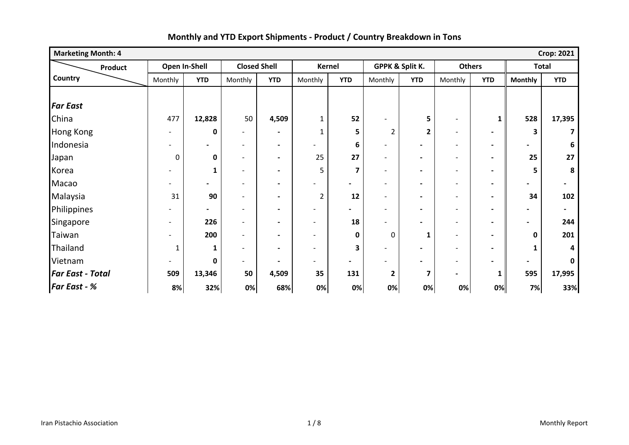| <b>Marketing Month: 4</b><br><b>Crop: 2021</b> |                          |                          |                              |                              |                          |                          |                          |                          |                          |                |                |                          |
|------------------------------------------------|--------------------------|--------------------------|------------------------------|------------------------------|--------------------------|--------------------------|--------------------------|--------------------------|--------------------------|----------------|----------------|--------------------------|
| <b>Product</b>                                 |                          | Open In-Shell            | <b>Closed Shell</b>          |                              |                          | Kernel                   | GPPK & Split K.          |                          | <b>Others</b>            |                | <b>Total</b>   |                          |
| Country                                        | Monthly                  | <b>YTD</b>               | Monthly                      | <b>YTD</b>                   | Monthly                  | <b>YTD</b>               | Monthly                  | <b>YTD</b>               | Monthly                  | <b>YTD</b>     | <b>Monthly</b> | <b>YTD</b>               |
|                                                |                          |                          |                              |                              |                          |                          |                          |                          |                          |                |                |                          |
| <b>Far East</b>                                |                          |                          |                              |                              |                          |                          |                          |                          |                          |                |                |                          |
| China                                          | 477                      | 12,828                   | 50                           | 4,509                        | $\mathbf{1}$             | 52                       |                          | 5                        |                          | 1              | 528            | 17,395                   |
| <b>Hong Kong</b>                               | $\overline{\phantom{a}}$ | 0                        | $\qquad \qquad \blacksquare$ | $\blacksquare$               | $\mathbf 1$              | 5                        | $\overline{\mathbf{c}}$  | $\mathbf{2}$             | $\overline{\phantom{a}}$ | $\blacksquare$ | 3              |                          |
| Indonesia                                      |                          | $\overline{\phantom{a}}$ | -                            | $\blacksquare$               | -                        | 6                        | -                        |                          | $\overline{\phantom{a}}$ | $\blacksquare$ |                | 6                        |
| Japan                                          | 0                        | $\bf{0}$                 | $\overline{\phantom{0}}$     | $\qquad \qquad \blacksquare$ | 25                       | 27                       | $\overline{\phantom{0}}$ | $\blacksquare$           | $\overline{\phantom{a}}$ | $\blacksquare$ | 25             | 27                       |
| Korea                                          |                          | 1                        | $\overline{\phantom{0}}$     | $\overline{\phantom{a}}$     | 5                        | 7                        | $\blacksquare$           | $\blacksquare$           | $\overline{\phantom{a}}$ | $\blacksquare$ | 5              | 8                        |
| Macao                                          |                          | $\blacksquare$           | $\overline{\phantom{a}}$     | $\overline{\phantom{0}}$     | -                        | $\blacksquare$           | $\blacksquare$           | $\blacksquare$           | $\overline{\phantom{a}}$ | $\blacksquare$ |                | $\overline{\phantom{a}}$ |
| Malaysia                                       | 31                       | 90                       | $\qquad \qquad \blacksquare$ | $\qquad \qquad \blacksquare$ | $\overline{2}$           | 12                       | -                        | $\blacksquare$           | $\overline{\phantom{a}}$ | $\blacksquare$ | 34             | 102                      |
| Philippines                                    |                          | $\blacksquare$           | $\overline{\phantom{0}}$     | $\blacksquare$               | $\overline{\phantom{a}}$ |                          | -                        | $\overline{\phantom{0}}$ | $\overline{\phantom{a}}$ | $\blacksquare$ |                | $\overline{\phantom{0}}$ |
| Singapore                                      | $\overline{\phantom{a}}$ | 226                      | $\overline{\phantom{0}}$     |                              | -                        | 18                       |                          | $\overline{\phantom{0}}$ | $\overline{\phantom{0}}$ | $\blacksquare$ |                | 244                      |
| Taiwan                                         |                          | 200                      | $\overline{\phantom{0}}$     | $\blacksquare$               | $\overline{\phantom{0}}$ | 0                        | 0                        | $\mathbf{1}$             | $\overline{\phantom{a}}$ | $\blacksquare$ | 0              | 201                      |
| Thailand                                       | 1                        | 1                        | $\overline{\phantom{a}}$     | $\blacksquare$               | $\overline{\phantom{a}}$ | 3                        | $\overline{\phantom{0}}$ | $\overline{\phantom{0}}$ | $\overline{\phantom{a}}$ | $\blacksquare$ | 1              | Δ                        |
| Vietnam                                        | $\overline{\phantom{a}}$ | $\mathbf{0}$             | $\qquad \qquad \blacksquare$ | $\overline{\phantom{0}}$     | -                        | $\overline{\phantom{0}}$ | -                        | $\overline{\phantom{0}}$ | $\overline{\phantom{a}}$ | $\blacksquare$ |                | $\Omega$                 |
| <b>Far East - Total</b>                        | 509                      | 13,346                   | 50                           | 4,509                        | 35                       | 131                      | $\mathbf{2}$             | 7                        | $\blacksquare$           | 1              | 595            | 17,995                   |
| <b>Far East - %</b>                            | 8%                       | 32%                      | 0%                           | 68%                          | 0%                       | 0%                       | 0%                       | 0%                       | 0%                       | 0%             | 7%             | 33%                      |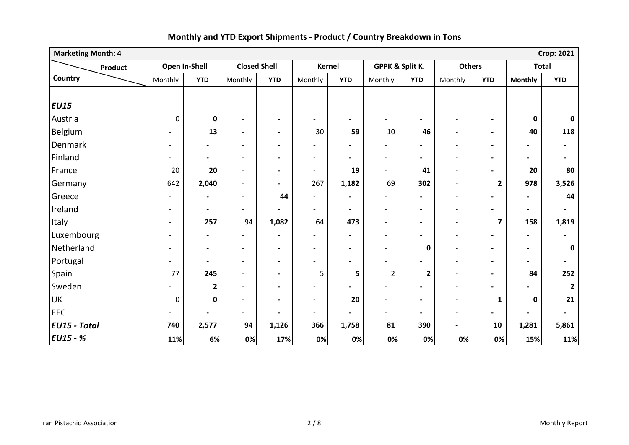| <b>Marketing Month: 4</b> |                          |                              |                          |                              |                          |                          |                          |                          |                          |                          |                | <b>Crop: 2021</b>        |
|---------------------------|--------------------------|------------------------------|--------------------------|------------------------------|--------------------------|--------------------------|--------------------------|--------------------------|--------------------------|--------------------------|----------------|--------------------------|
| Product                   |                          | Open In-Shell                | <b>Closed Shell</b>      |                              |                          | <b>Kernel</b>            |                          | GPPK & Split K.          | <b>Others</b>            |                          | <b>Total</b>   |                          |
| Country                   | Monthly                  | <b>YTD</b>                   | Monthly                  | <b>YTD</b>                   | Monthly                  | <b>YTD</b>               | Monthly                  | <b>YTD</b>               | Monthly                  | <b>YTD</b>               | <b>Monthly</b> | <b>YTD</b>               |
|                           |                          |                              |                          |                              |                          |                          |                          |                          |                          |                          |                |                          |
| <b>EU15</b>               |                          |                              |                          |                              |                          |                          |                          |                          |                          |                          |                |                          |
| Austria                   | $\pmb{0}$                | $\mathbf 0$                  | $\qquad \qquad -$        |                              |                          | $\blacksquare$           |                          |                          |                          |                          | 0              | $\mathbf 0$              |
| Belgium                   |                          | 13                           | $\overline{\phantom{a}}$ | $\blacksquare$               | 30                       | 59                       | 10                       | 46                       | $\blacksquare$           | $\blacksquare$           | 40             | 118                      |
| Denmark                   | $\overline{\phantom{a}}$ | $\qquad \qquad \blacksquare$ | $\overline{\phantom{a}}$ | $\blacksquare$               | $\overline{a}$           | $\blacksquare$           |                          |                          | $\overline{\phantom{a}}$ | $\blacksquare$           | $\blacksquare$ | $\overline{\phantom{a}}$ |
| Finland                   |                          | $\blacksquare$               | $\overline{\phantom{a}}$ | $\overline{\phantom{a}}$     | $\overline{\phantom{a}}$ | $\blacksquare$           | $\overline{\phantom{a}}$ | $\overline{\phantom{a}}$ |                          | $\blacksquare$           |                | $\blacksquare$           |
| France                    | 20                       | 20                           | $\overline{\phantom{0}}$ | $\blacksquare$               | $\blacksquare$           | 19                       | $\overline{\phantom{0}}$ | 41                       | $\overline{\phantom{a}}$ | $\blacksquare$           | 20             | 80                       |
| Germany                   | 642                      | 2,040                        | $\overline{\phantom{0}}$ | $\overline{\phantom{a}}$     | 267                      | 1,182                    | 69                       | 302                      |                          | $\overline{2}$           | 978            | 3,526                    |
| Greece                    | $\blacksquare$           | $\overline{\phantom{a}}$     | $\blacksquare$           | 44                           | $\overline{a}$           | $\blacksquare$           | $\overline{\phantom{a}}$ | $\overline{\phantom{a}}$ | $\overline{\phantom{a}}$ | $\blacksquare$           | $\blacksquare$ | 44                       |
| Ireland                   | $\blacksquare$           | $\blacksquare$               | $\overline{\phantom{a}}$ | $\blacksquare$               | $\blacksquare$           | $\blacksquare$           | $\overline{\phantom{a}}$ | $\overline{\phantom{a}}$ | $\overline{\phantom{a}}$ | $\blacksquare$           | $\blacksquare$ | $\blacksquare$           |
| Italy                     | $\qquad \qquad -$        | 257                          | 94                       | 1,082                        | 64                       | 473                      | $\overline{\phantom{a}}$ | $\blacksquare$           |                          | $\overline{\mathbf{z}}$  | 158            | 1,819                    |
| Luxembourg                |                          | $\overline{\phantom{a}}$     | $\blacksquare$           | $\qquad \qquad \blacksquare$ | $\overline{\phantom{0}}$ | $\blacksquare$           | $\overline{\phantom{a}}$ |                          |                          | $\overline{\phantom{a}}$ | $\blacksquare$ | $\blacksquare$           |
| Netherland                | $\overline{\phantom{0}}$ | $\blacksquare$               | $\overline{\phantom{a}}$ | $\blacksquare$               | $\overline{\phantom{a}}$ | $\blacksquare$           | $\overline{\phantom{a}}$ | $\mathbf 0$              | $\overline{\phantom{a}}$ | $\blacksquare$           | $\blacksquare$ | 0                        |
| Portugal                  |                          | $\blacksquare$               | $\overline{\phantom{a}}$ | $\blacksquare$               | $\overline{a}$           | $\blacksquare$           |                          |                          |                          | $\blacksquare$           | $\blacksquare$ | $\overline{\phantom{0}}$ |
| Spain                     | 77                       | 245                          | $\overline{\phantom{a}}$ | $\blacksquare$               | 5                        | 5                        | $\overline{2}$           | $\overline{\mathbf{2}}$  | $\overline{\phantom{a}}$ | $\blacksquare$           | 84             | 252                      |
| Sweden                    |                          | $\overline{2}$               | $\overline{\phantom{a}}$ | $\qquad \qquad \blacksquare$ |                          |                          |                          |                          |                          |                          |                | $\overline{2}$           |
| <b>UK</b>                 | $\pmb{0}$                | $\mathbf 0$                  | $\overline{\phantom{a}}$ | $\overline{\phantom{a}}$     | $\blacksquare$           | 20                       | $\overline{\phantom{0}}$ | $\blacksquare$           | $\blacksquare$           | 1                        | 0              | 21                       |
| <b>EEC</b>                | $\overline{\phantom{a}}$ | $\qquad \qquad \blacksquare$ | $\blacksquare$           | $\blacksquare$               | $\overline{\phantom{a}}$ | $\overline{\phantom{a}}$ | $\overline{\phantom{a}}$ | $\blacksquare$           | $\overline{\phantom{a}}$ | $\blacksquare$           | $\blacksquare$ | $\blacksquare$           |
| <b>EU15 - Total</b>       | 740                      | 2,577                        | 94                       | 1,126                        | 366                      | 1,758                    | 81                       | 390                      | $\blacksquare$           | 10                       | 1,281          | 5,861                    |
| <b>EU15 - %</b>           | 11%                      | 6%                           | 0%                       | 17%                          | 0%                       | 0%                       | 0%                       | 0%                       | 0%                       | 0%                       | 15%            | 11%                      |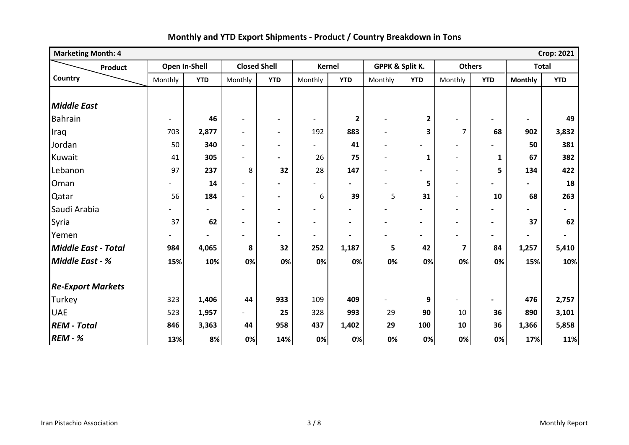| <b>Marketing Month: 4</b><br><b>Crop: 2021</b> |                          |                |                          |                          |                          |                          |                          |                          |                          |                          |                |                          |
|------------------------------------------------|--------------------------|----------------|--------------------------|--------------------------|--------------------------|--------------------------|--------------------------|--------------------------|--------------------------|--------------------------|----------------|--------------------------|
| Product                                        |                          | Open In-Shell  | <b>Closed Shell</b>      |                          | <b>Kernel</b>            |                          | GPPK & Split K.          |                          | <b>Others</b>            |                          | <b>Total</b>   |                          |
| Country                                        | Monthly                  | <b>YTD</b>     | Monthly                  | <b>YTD</b>               | Monthly                  | <b>YTD</b>               | Monthly                  | <b>YTD</b>               | Monthly                  | <b>YTD</b>               | <b>Monthly</b> | <b>YTD</b>               |
|                                                |                          |                |                          |                          |                          |                          |                          |                          |                          |                          |                |                          |
| <b>Middle East</b>                             |                          |                |                          |                          |                          |                          |                          |                          |                          |                          |                |                          |
| <b>Bahrain</b>                                 | $\overline{\phantom{a}}$ | 46             | $\qquad \qquad -$        | $\blacksquare$           | $\overline{\phantom{a}}$ | $\mathbf{2}$             | $\overline{\phantom{a}}$ | $\mathbf{2}$             |                          |                          | $\blacksquare$ | 49                       |
| Iraq                                           | 703                      | 2,877          | $\overline{a}$           | $\blacksquare$           | 192                      | 883                      | $\blacksquare$           | 3                        | 7                        | 68                       | 902            | 3,832                    |
| Jordan                                         | 50                       | 340            | $\overline{\phantom{a}}$ | $\blacksquare$           | $\overline{\phantom{0}}$ | 41                       | $\blacksquare$           |                          | $\overline{\phantom{a}}$ |                          | 50             | 381                      |
| Kuwait                                         | 41                       | 305            |                          | $\overline{\phantom{a}}$ | 26                       | 75                       | $\overline{\phantom{a}}$ | 1                        | $\overline{\phantom{a}}$ | 1                        | 67             | 382                      |
| Lebanon                                        | 97                       | 237            | 8                        | 32                       | 28                       | 147                      | $\blacksquare$           |                          | $\overline{\phantom{a}}$ | 5                        | 134            | 422                      |
| Oman                                           |                          | 14             | $\overline{a}$           | $\overline{\phantom{a}}$ |                          | $\blacksquare$           |                          | 5                        |                          | $\blacksquare$           | $\blacksquare$ | 18                       |
| Qatar                                          | 56                       | 184            | $\overline{a}$           | $\blacksquare$           | 6                        | 39                       | 5                        | 31                       | $\blacksquare$           | 10                       | 68             | 263                      |
| Saudi Arabia                                   |                          | $\blacksquare$ | $\overline{a}$           | $\overline{\phantom{a}}$ | $\blacksquare$           |                          | $\blacksquare$           |                          | $\overline{\phantom{a}}$ | $\overline{\phantom{0}}$ |                | $\overline{\phantom{0}}$ |
| Syria                                          | 37                       | 62             | $\overline{a}$           | $\blacksquare$           | $\overline{\phantom{0}}$ | $\overline{\phantom{0}}$ |                          | $\overline{\phantom{0}}$ | $\overline{\phantom{0}}$ | $\blacksquare$           | 37             | 62                       |
| Yemen                                          |                          |                | $\overline{\phantom{0}}$ | $\blacksquare$           | $\overline{\phantom{a}}$ | $\blacksquare$           |                          | $\blacksquare$           |                          | $\overline{\phantom{0}}$ |                |                          |
| <b>Middle East - Total</b>                     | 984                      | 4,065          | 8                        | 32                       | 252                      | 1,187                    | 5                        | 42                       | 7                        | 84                       | 1,257          | 5,410                    |
| Middle East - %                                | 15%                      | 10%            | 0%                       | 0%                       | 0%                       | 0%                       | 0%                       | 0%                       | 0%                       | 0%                       | 15%            | 10%                      |
| <b>Re-Export Markets</b>                       |                          |                |                          |                          |                          |                          |                          |                          |                          |                          |                |                          |
| Turkey                                         | 323                      | 1,406          | 44                       | 933                      | 109                      | 409                      |                          | 9                        |                          | $\blacksquare$           | 476            | 2,757                    |
| <b>UAE</b>                                     | 523                      | 1,957          | $\blacksquare$           | 25                       | 328                      | 993                      | 29                       | 90                       | 10                       | 36                       | 890            | 3,101                    |
| <b>REM - Total</b>                             | 846                      | 3,363          | 44                       | 958                      | 437                      | 1,402                    | 29                       | 100                      | 10                       | 36                       | 1,366          | 5,858                    |
| <b>REM - %</b>                                 | 13%                      | 8%             | 0%                       | 14%                      | 0%                       | 0%                       | 0%                       | 0%                       | 0%                       | 0%                       | 17%            | 11%                      |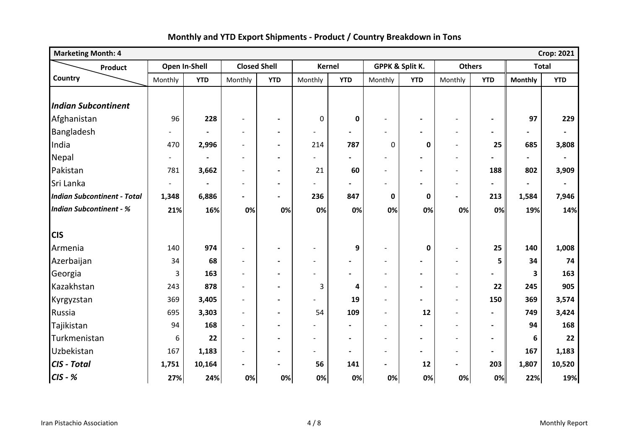| <b>Marketing Month: 4</b><br><b>Crop: 2021</b> |                |               |                          |                          |                          |                |                          |                          |                          |                          |                 |                |
|------------------------------------------------|----------------|---------------|--------------------------|--------------------------|--------------------------|----------------|--------------------------|--------------------------|--------------------------|--------------------------|-----------------|----------------|
| <b>Product</b>                                 |                | Open In-Shell | <b>Closed Shell</b>      |                          | <b>Kernel</b>            |                |                          | GPPK & Split K.          | <b>Others</b>            |                          | <b>Total</b>    |                |
| Country                                        | Monthly        | <b>YTD</b>    | Monthly                  | <b>YTD</b>               | Monthly                  | <b>YTD</b>     | Monthly                  | <b>YTD</b>               | Monthly                  | <b>YTD</b>               | <b>Monthly</b>  | <b>YTD</b>     |
| <b>Indian Subcontinent</b>                     |                |               |                          |                          |                          |                |                          |                          |                          |                          |                 |                |
| Afghanistan                                    | 96             | 228           | $\blacksquare$           | $\blacksquare$           | $\mathbf 0$              | $\mathbf 0$    |                          |                          |                          |                          | 97              | 229            |
| Bangladesh                                     |                |               | $\overline{\phantom{a}}$ | $\overline{\phantom{a}}$ |                          | $\blacksquare$ |                          |                          | $\overline{\phantom{a}}$ | $\blacksquare$           |                 |                |
| India                                          | 470            | 2,996         | $\overline{\phantom{a}}$ | $\blacksquare$           | 214                      | 787            | $\mathbf 0$              | 0                        | $\overline{\phantom{a}}$ | 25                       | 685             | 3,808          |
| Nepal                                          | $\sim$         |               | $\overline{a}$           | $\blacksquare$           | $\overline{a}$           | $\blacksquare$ |                          |                          | $\blacksquare$           |                          | $\blacksquare$  | $\blacksquare$ |
| Pakistan                                       | 781            | 3,662         | $\overline{\phantom{a}}$ | $\blacksquare$           | 21                       | 60             | $\overline{a}$           | $\blacksquare$           | $\blacksquare$           | 188                      | 802             | 3,909          |
| Sri Lanka                                      | $\blacksquare$ |               | $\overline{\phantom{0}}$ | $\blacksquare$           | $\blacksquare$           | $\blacksquare$ |                          |                          | $\overline{\phantom{a}}$ | $\overline{\phantom{0}}$ | $\blacksquare$  | $\blacksquare$ |
| <b>Indian Subcontinent - Total</b>             | 1,348          | 6,886         | $\blacksquare$           | $\blacksquare$           | 236                      | 847            | 0                        | 0                        | $\overline{\phantom{a}}$ | 213                      | 1,584           | 7,946          |
| <b>Indian Subcontinent - %</b>                 | 21%            | 16%           | 0%                       | 0%                       | 0%                       | 0%             | 0%                       | 0%                       | 0%                       | 0%                       | 19%             | 14%            |
| <b>CIS</b>                                     |                |               |                          |                          |                          |                |                          |                          |                          |                          |                 |                |
| Armenia                                        | 140            | 974           | $\blacksquare$           | $\overline{\phantom{a}}$ | $\blacksquare$           | 9              | $\blacksquare$           | $\mathbf 0$              | $\blacksquare$           | 25                       | 140             | 1,008          |
| Azerbaijan                                     | 34             | 68            | $\overline{\phantom{a}}$ | $\overline{\phantom{a}}$ | $\overline{\phantom{a}}$ | $\blacksquare$ | $\overline{\phantom{a}}$ |                          | $\overline{\phantom{a}}$ | 5                        | 34              | 74             |
| Georgia                                        | 3              | 163           | $\overline{\phantom{a}}$ | $\blacksquare$           | $\overline{\phantom{a}}$ | $\blacksquare$ | $\overline{\phantom{a}}$ | $\overline{\phantom{0}}$ | $\overline{\phantom{a}}$ | $\blacksquare$           | 3               | 163            |
| Kazakhstan                                     | 243            | 878           | $\overline{\phantom{a}}$ | $\blacksquare$           | 3                        | 4              | $\overline{\phantom{a}}$ |                          | $\overline{\phantom{a}}$ | 22                       | 245             | 905            |
| Kyrgyzstan                                     | 369            | 3,405         | $\overline{\phantom{a}}$ | $\blacksquare$           | $\overline{a}$           | 19             |                          |                          | $\overline{\phantom{a}}$ | 150                      | 369             | 3,574          |
| Russia                                         | 695            | 3,303         | $\overline{a}$           | $\blacksquare$           | 54                       | 109            | $\overline{\phantom{a}}$ | 12                       | $\overline{\phantom{a}}$ | $\blacksquare$           | 749             | 3,424          |
| Tajikistan                                     | 94             | 168           | $\overline{\phantom{0}}$ | $\blacksquare$           |                          |                |                          |                          |                          | $\blacksquare$           | 94              | 168            |
| Turkmenistan                                   | 6              | 22            | $\overline{a}$           | $\blacksquare$           | $\overline{a}$           | $\blacksquare$ | $\overline{\phantom{a}}$ | $\blacksquare$           | $\sim$                   | $\blacksquare$           | $6\phantom{1}6$ | 22             |
| Uzbekistan                                     | 167            | 1,183         | $\overline{\phantom{0}}$ | $\blacksquare$           | $\overline{\phantom{0}}$ | $\blacksquare$ | $\blacksquare$           |                          | $\overline{\phantom{a}}$ | $\blacksquare$           | 167             | 1,183          |
| CIS - Total                                    | 1,751          | 10,164        | $\blacksquare$           | $\blacksquare$           | 56                       | 141            | $\overline{\phantom{0}}$ | 12                       | $\overline{\phantom{a}}$ | 203                      | 1,807           | 10,520         |
| $CIS - K$                                      | 27%            | 24%           | 0%                       | 0%                       | 0%                       | 0%             | 0%                       | 0%                       | 0%                       | 0%                       | 22%             | 19%            |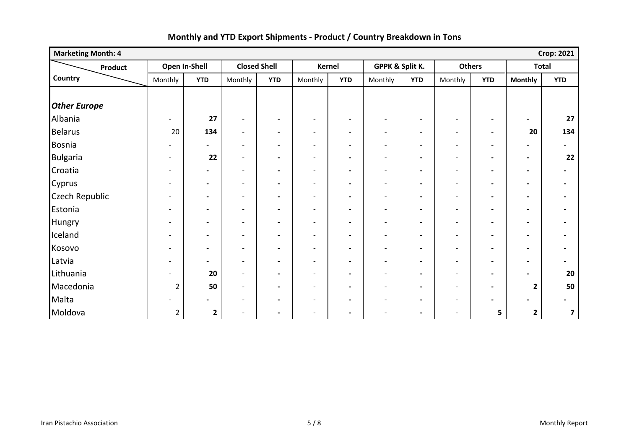| <b>Marketing Month: 4</b> | <b>Crop: 2021</b>        |                |                              |                          |                              |                          |                          |                |                          |                |                          |                          |
|---------------------------|--------------------------|----------------|------------------------------|--------------------------|------------------------------|--------------------------|--------------------------|----------------|--------------------------|----------------|--------------------------|--------------------------|
| <b>Product</b>            |                          | Open In-Shell  |                              | <b>Closed Shell</b>      |                              | Kernel                   | GPPK & Split K.          |                | <b>Others</b>            |                | <b>Total</b>             |                          |
| Country                   | Monthly                  | <b>YTD</b>     | Monthly                      | <b>YTD</b>               | Monthly                      | <b>YTD</b>               | Monthly                  | <b>YTD</b>     | Monthly                  | <b>YTD</b>     | <b>Monthly</b>           | <b>YTD</b>               |
|                           |                          |                |                              |                          |                              |                          |                          |                |                          |                |                          |                          |
| <b>Other Europe</b>       |                          |                |                              |                          |                              |                          |                          |                |                          |                |                          |                          |
| Albania                   | $\blacksquare$           | 27             | $\overline{\phantom{a}}$     | $\blacksquare$           | $\overline{\phantom{a}}$     | $\blacksquare$           | $\overline{\phantom{a}}$ | $\blacksquare$ | $\overline{\phantom{a}}$ | $\blacksquare$ |                          | 27                       |
| <b>Belarus</b>            | 20                       | 134            | $\overline{\phantom{a}}$     | $\blacksquare$           | $\overline{\phantom{a}}$     | $\blacksquare$           | $\overline{\phantom{a}}$ | $\blacksquare$ | $\overline{\phantom{a}}$ | $\blacksquare$ | 20                       | 134                      |
| Bosnia                    | $\overline{\phantom{a}}$ | $\blacksquare$ | $\overline{\phantom{a}}$     | $\hbox{--}$              | $\overline{\phantom{a}}$     | $\blacksquare$           | $\overline{\phantom{a}}$ | $\blacksquare$ | $\overline{\phantom{a}}$ | $\blacksquare$ | $\overline{\phantom{a}}$ | $\overline{\phantom{0}}$ |
| <b>Bulgaria</b>           | $\overline{\phantom{a}}$ | 22             | $\overline{\phantom{a}}$     | $\blacksquare$           | $\overline{\phantom{a}}$     | $\blacksquare$           | $\overline{\phantom{a}}$ | $\blacksquare$ | $\overline{\phantom{a}}$ | $\blacksquare$ | $\overline{\phantom{a}}$ | 22                       |
| Croatia                   | $\overline{\phantom{a}}$ | $\blacksquare$ | $\overline{\phantom{a}}$     | $\overline{\phantom{a}}$ | $\overline{\phantom{a}}$     | $\blacksquare$           | $\overline{\phantom{a}}$ | $\blacksquare$ | $\overline{\phantom{a}}$ | $\blacksquare$ | $\overline{\phantom{0}}$ | $\blacksquare$           |
| Cyprus                    | $\overline{\phantom{a}}$ | $\blacksquare$ | $\overline{\phantom{a}}$     | $\blacksquare$           | $\overline{\phantom{a}}$     | $\overline{\phantom{a}}$ | $\overline{\phantom{a}}$ | $\blacksquare$ | $\overline{\phantom{a}}$ | $\blacksquare$ | $\overline{\phantom{a}}$ | $\blacksquare$           |
| Czech Republic            | $\overline{\phantom{a}}$ | $\blacksquare$ | $\overline{\phantom{a}}$     | $\overline{\phantom{a}}$ | $\overline{\phantom{a}}$     | $\overline{\phantom{a}}$ | $\overline{\phantom{a}}$ | $\blacksquare$ | $\overline{\phantom{a}}$ | $\blacksquare$ | $\overline{\phantom{a}}$ | $\blacksquare$           |
| Estonia                   | $\overline{\phantom{a}}$ | $\blacksquare$ | $\overline{\phantom{a}}$     | $\blacksquare$           | $\overline{\phantom{a}}$     | $\blacksquare$           | $\overline{\phantom{a}}$ | $\blacksquare$ | $\overline{\phantom{a}}$ | $\blacksquare$ | $\overline{\phantom{a}}$ | $\blacksquare$           |
| Hungry                    | $\overline{\phantom{0}}$ | $\blacksquare$ | $\overline{\phantom{a}}$     | $\blacksquare$           | $\blacksquare$               | $\blacksquare$           | $\blacksquare$           | $\blacksquare$ | $\overline{\phantom{a}}$ | $\blacksquare$ |                          |                          |
| Iceland                   | $\overline{\phantom{a}}$ | $\blacksquare$ | $\blacksquare$               | $\hbox{--}$              | $\overline{\phantom{a}}$     | $\blacksquare$           | $\blacksquare$           | $\blacksquare$ | $\overline{\phantom{a}}$ | $\blacksquare$ | $\overline{\phantom{a}}$ | $\blacksquare$           |
| Kosovo                    | $\overline{\phantom{a}}$ | $\blacksquare$ | $\qquad \qquad \blacksquare$ | $\blacksquare$           | $\overline{\phantom{0}}$     | $\blacksquare$           | $\overline{\phantom{a}}$ | $\blacksquare$ | $\overline{\phantom{a}}$ | $\blacksquare$ |                          | $\overline{a}$           |
| Latvia                    | $\overline{\phantom{a}}$ | $\blacksquare$ | $\overline{\phantom{a}}$     | $\blacksquare$           | $\overline{\phantom{a}}$     | $\blacksquare$           | $\overline{\phantom{a}}$ | $\blacksquare$ | $\overline{\phantom{a}}$ | $\blacksquare$ | $\overline{\phantom{a}}$ | $\blacksquare$           |
| Lithuania                 |                          | 20             | $\qquad \qquad -$            | $\blacksquare$           | $\overline{a}$               | $\blacksquare$           | $\overline{\phantom{a}}$ | $\blacksquare$ | $\overline{\phantom{a}}$ | $\blacksquare$ |                          | 20                       |
| Macedonia                 | $\overline{2}$           | 50             | $\overline{\phantom{a}}$     | $\blacksquare$           | $\overline{\phantom{a}}$     | $\blacksquare$           | $\overline{\phantom{a}}$ | $\blacksquare$ | $\overline{\phantom{a}}$ | $\blacksquare$ | $\mathbf{2}$             | 50                       |
| Malta                     |                          | $\blacksquare$ | $\overline{\phantom{a}}$     | $\blacksquare$           | $\overline{\phantom{a}}$     | $\blacksquare$           | $\overline{\phantom{a}}$ | $\blacksquare$ | $\overline{\phantom{a}}$ | $\blacksquare$ |                          | $\overline{\phantom{a}}$ |
| Moldova                   | $\overline{2}$           | $\mathbf{2}$   | $\qquad \qquad -$            | $\overline{\phantom{a}}$ | $\qquad \qquad \blacksquare$ | $\blacksquare$           | $\overline{\phantom{a}}$ | $\blacksquare$ | $\overline{\phantom{a}}$ | 5              | $\mathbf{2}$             | 7                        |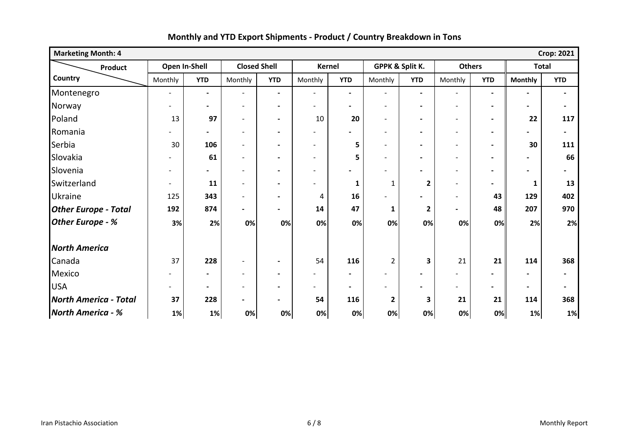| <b>Marketing Month: 4</b><br><b>Crop: 2021</b> |                          |                          |                              |                              |                              |                |                          |                          |                          |                          |                |                |
|------------------------------------------------|--------------------------|--------------------------|------------------------------|------------------------------|------------------------------|----------------|--------------------------|--------------------------|--------------------------|--------------------------|----------------|----------------|
| Product                                        | Open In-Shell            |                          | <b>Closed Shell</b>          |                              | Kernel                       |                |                          | GPPK & Split K.          | <b>Others</b>            |                          | <b>Total</b>   |                |
| Country                                        | Monthly                  | <b>YTD</b>               | Monthly                      | <b>YTD</b>                   | Monthly                      | <b>YTD</b>     | Monthly                  | <b>YTD</b>               | Monthly                  | <b>YTD</b>               | <b>Monthly</b> | <b>YTD</b>     |
| Montenegro                                     | $\overline{\phantom{a}}$ | $\blacksquare$           | $\overline{\phantom{a}}$     | $\blacksquare$               | $\overline{\phantom{a}}$     | $\blacksquare$ | $\overline{\phantom{a}}$ | $\blacksquare$           | $\overline{\phantom{a}}$ | $\blacksquare$           | $\blacksquare$ | $\blacksquare$ |
| Norway                                         | $\overline{\phantom{0}}$ | $\blacksquare$           | $\overline{\phantom{a}}$     | $\blacksquare$               | $\overline{\phantom{0}}$     | $\blacksquare$ | $\overline{\phantom{a}}$ | $\blacksquare$           | $\overline{\phantom{a}}$ | $\blacksquare$           |                | $\blacksquare$ |
| Poland                                         | 13                       | 97                       | $\blacksquare$               | $\blacksquare$               | 10                           | 20             | $\blacksquare$           | $\blacksquare$           | $\blacksquare$           | $\blacksquare$           | 22             | 117            |
| Romania                                        |                          | $\blacksquare$           | $\overline{\phantom{a}}$     | $\blacksquare$               | $\qquad \qquad \blacksquare$ |                | $\overline{\phantom{a}}$ | $\blacksquare$           | $\overline{\phantom{a}}$ | $\blacksquare$           |                | $\blacksquare$ |
| Serbia                                         | 30                       | 106                      | $\qquad \qquad -$            | $\blacksquare$               | $\overline{a}$               | 5              | $\overline{\phantom{a}}$ | $\blacksquare$           | $\overline{\phantom{a}}$ | $\blacksquare$           | 30             | 111            |
| Slovakia                                       | $\overline{\phantom{0}}$ | 61                       | $\overline{\phantom{a}}$     | $\blacksquare$               | $\blacksquare$               | 5              | $\blacksquare$           | $\blacksquare$           | $\overline{\phantom{a}}$ | $\blacksquare$           |                | 66             |
| Slovenia                                       |                          | $\overline{\phantom{0}}$ | $\overline{a}$               |                              | $\overline{a}$               |                |                          |                          | $\overline{\phantom{a}}$ |                          |                |                |
| Switzerland                                    | $\overline{\phantom{0}}$ | 11                       | $\overline{\phantom{a}}$     | $\overline{\phantom{0}}$     | $\overline{a}$               | 1              | $\mathbf{1}$             | $\mathbf{2}$             | $\blacksquare$           | $\blacksquare$           | 1              | 13             |
| <b>Ukraine</b>                                 | 125                      | 343                      | $\overline{\phantom{0}}$     | $\overline{\phantom{0}}$     | 4                            | 16             |                          |                          | $\overline{\phantom{a}}$ | 43                       | 129            | 402            |
| <b>Other Europe - Total</b>                    | 192                      | 874                      | $\blacksquare$               | $\qquad \qquad \blacksquare$ | 14                           | 47             | 1                        | $\mathbf{2}$             | $\overline{\phantom{0}}$ | 48                       | 207            | 970            |
| <b>Other Europe - %</b>                        | 3%                       | 2%                       | 0%                           | 0%                           | 0%                           | 0%             | 0%                       | 0%                       | 0%                       | 0%                       | 2%             | 2%             |
| <b>North America</b>                           |                          |                          |                              |                              |                              |                |                          |                          |                          |                          |                |                |
| Canada                                         | 37                       | 228                      | $\qquad \qquad -$            | $\blacksquare$               | 54                           | 116            | $\overline{2}$           | 3                        | 21                       | 21                       | 114            | 368            |
| Mexico                                         |                          | $\blacksquare$           | $\qquad \qquad -$            | $\qquad \qquad \blacksquare$ | $\qquad \qquad \blacksquare$ | $\blacksquare$ | -                        | $\blacksquare$           |                          |                          |                | $\blacksquare$ |
| <b>USA</b>                                     |                          | $\blacksquare$           | $\overline{\phantom{0}}$     | $\qquad \qquad \blacksquare$ | $\qquad \qquad \blacksquare$ | $\blacksquare$ | -                        | $\overline{\phantom{0}}$ | $\overline{\phantom{a}}$ | $\overline{\phantom{0}}$ |                | $\blacksquare$ |
| <b>North America - Total</b>                   | 37                       | 228                      | $\qquad \qquad \blacksquare$ | $\overline{\phantom{a}}$     | 54                           | 116            | $\mathbf{2}$             | 3                        | 21                       | 21                       | 114            | 368            |
| <b>North America - %</b>                       | 1%                       | 1%                       | 0%                           | 0%                           | 0%                           | 0%             | 0%                       | 0%                       | 0%                       | 0%                       | 1%             | 1%             |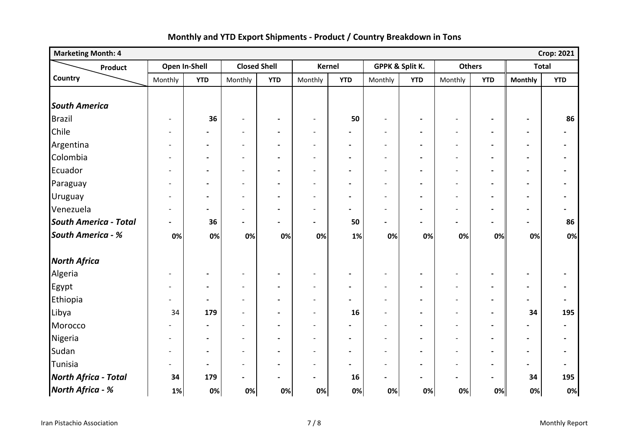| <b>Marketing Month: 4</b>    |                          |                          |                              |                          |                              |                          |                          |                 |                          |                          |                          | <b>Crop: 2021</b>            |
|------------------------------|--------------------------|--------------------------|------------------------------|--------------------------|------------------------------|--------------------------|--------------------------|-----------------|--------------------------|--------------------------|--------------------------|------------------------------|
| Product                      | Open In-Shell            |                          | <b>Closed Shell</b>          |                          | <b>Kernel</b>                |                          |                          | GPPK & Split K. | <b>Others</b>            |                          | <b>Total</b>             |                              |
| Country                      | Monthly                  | <b>YTD</b>               | Monthly                      | <b>YTD</b>               | Monthly                      | <b>YTD</b>               | Monthly                  | <b>YTD</b>      | Monthly                  | <b>YTD</b>               | <b>Monthly</b>           | <b>YTD</b>                   |
|                              |                          |                          |                              |                          |                              |                          |                          |                 |                          |                          |                          |                              |
| <b>South America</b>         |                          |                          |                              |                          |                              |                          |                          |                 |                          |                          |                          |                              |
| Brazil                       | $\overline{\phantom{a}}$ | 36                       | $\qquad \qquad \blacksquare$ | $\blacksquare$           | $\overline{\phantom{a}}$     | 50                       | $\overline{\phantom{a}}$ | $\blacksquare$  | $\overline{\phantom{a}}$ | $\blacksquare$           | $\blacksquare$           | 86                           |
| Chile                        | $\overline{\phantom{a}}$ | $\blacksquare$           | $\overline{\phantom{a}}$     | $\blacksquare$           | $\overline{\phantom{a}}$     | $\blacksquare$           | $\overline{\phantom{a}}$ |                 | $\overline{\phantom{a}}$ | $\blacksquare$           | $\blacksquare$           | $\overline{\phantom{a}}$     |
| Argentina                    | $\overline{\phantom{a}}$ | $\hbox{--}$              | $\blacksquare$               | $\overline{\phantom{0}}$ | $\overline{a}$               | $\overline{\phantom{a}}$ | $\overline{\phantom{a}}$ |                 | $\overline{\phantom{a}}$ | $\blacksquare$           | $\blacksquare$           | $\qquad \qquad \blacksquare$ |
| Colombia                     | $\overline{\phantom{0}}$ | $\hbox{--}$              | $\overline{\phantom{a}}$     | $\overline{\phantom{a}}$ | $\overline{a}$               | $\blacksquare$           | $\overline{\phantom{a}}$ |                 |                          | $\blacksquare$           | $\overline{\phantom{a}}$ | $\overline{\phantom{a}}$     |
| Ecuador                      | $\overline{\phantom{0}}$ | $\overline{\phantom{a}}$ | $\overline{\phantom{a}}$     | $\overline{\phantom{a}}$ | $\overline{\phantom{0}}$     | $\blacksquare$           | $\overline{\phantom{a}}$ | $\blacksquare$  | $\overline{\phantom{a}}$ | $\blacksquare$           | $\blacksquare$           | $\overline{\phantom{a}}$     |
| Paraguay                     |                          | $\hbox{--}$              | $\overline{\phantom{a}}$     | $\overline{\phantom{a}}$ | $\overline{a}$               | $\overline{\phantom{a}}$ | $\overline{\phantom{a}}$ |                 |                          | $\blacksquare$           | $\overline{\phantom{a}}$ | $\overline{a}$               |
| Uruguay                      | $\overline{\phantom{0}}$ | $\blacksquare$           | $\overline{a}$               | $\overline{\phantom{0}}$ | $\overline{a}$               | $\blacksquare$           | $\overline{a}$           |                 |                          | $\blacksquare$           | $\overline{\phantom{0}}$ | $\blacksquare$               |
| Venezuela                    | $\overline{\phantom{a}}$ | $\overline{\phantom{0}}$ | $\overline{\phantom{a}}$     | $\overline{\phantom{a}}$ | $\overline{a}$               | $\blacksquare$           | $\overline{\phantom{a}}$ | $\blacksquare$  | $\overline{\phantom{a}}$ | $\blacksquare$           | $\overline{\phantom{a}}$ | $\overline{\phantom{a}}$     |
| <b>South America - Total</b> | $\overline{\phantom{0}}$ | 36                       | $\overline{a}$               | $\overline{\phantom{0}}$ | $\blacksquare$               | 50                       | $\blacksquare$           | $\blacksquare$  |                          | $\blacksquare$           | $\overline{\phantom{0}}$ | 86                           |
| <b>South America - %</b>     | 0%                       | 0%                       | 0%                           | 0%                       | 0%                           | 1%                       | 0%                       | 0%              | 0%                       | 0%                       | 0%                       | 0%                           |
| <b>North Africa</b>          |                          |                          |                              |                          |                              |                          |                          |                 |                          |                          |                          |                              |
| Algeria                      | $\overline{\phantom{a}}$ | $\overline{\phantom{a}}$ | $\overline{\phantom{a}}$     | $\overline{\phantom{a}}$ | $\overline{\phantom{a}}$     | $\blacksquare$           | $\overline{\phantom{a}}$ | $\blacksquare$  | $\overline{\phantom{a}}$ | $\blacksquare$           | $\blacksquare$           | $\overline{\phantom{a}}$     |
| Egypt                        | $\overline{\phantom{a}}$ | $\blacksquare$           | $\overline{\phantom{a}}$     | $\blacksquare$           | $\overline{\phantom{0}}$     | $\blacksquare$           | $\overline{\phantom{a}}$ | $\blacksquare$  | $\overline{\phantom{a}}$ | $\blacksquare$           | $\blacksquare$           | $\blacksquare$               |
| Ethiopia                     | $\overline{\phantom{a}}$ | $\overline{\phantom{a}}$ | $\qquad \qquad$              |                          | $\qquad \qquad \blacksquare$ |                          |                          |                 |                          | $\overline{\phantom{a}}$ | $\overline{\phantom{0}}$ | $\overline{\phantom{a}}$     |
| Libya                        | 34                       | 179                      | $\overline{\phantom{a}}$     | $\overline{\phantom{a}}$ | $\overline{\phantom{a}}$     | 16                       | $\overline{\phantom{a}}$ | $\blacksquare$  | $\overline{\phantom{a}}$ | $\blacksquare$           | 34                       | 195                          |
| Morocco                      |                          | $\blacksquare$           | $\overline{a}$               | $\blacksquare$           | $\overline{a}$               | $\blacksquare$           | $\overline{\phantom{a}}$ | $\blacksquare$  | $\overline{\phantom{a}}$ | $\blacksquare$           |                          | $\blacksquare$               |
| Nigeria                      | $\overline{\phantom{a}}$ | $\overline{\phantom{a}}$ | $\overline{\phantom{a}}$     | $\blacksquare$           | $\overline{a}$               | $\blacksquare$           | $\overline{\phantom{a}}$ | $\blacksquare$  | $\overline{\phantom{a}}$ | $\blacksquare$           | $\blacksquare$           | $\blacksquare$               |
| Sudan                        | $\overline{\phantom{0}}$ | $\overline{\phantom{a}}$ | $\overline{a}$               | $\overline{\phantom{0}}$ | $\overline{a}$               | $\blacksquare$           | $\overline{a}$           |                 |                          | $\blacksquare$           | $\blacksquare$           | $\blacksquare$               |
| Tunisia                      | $\overline{\phantom{0}}$ | $\overline{\phantom{a}}$ | $\overline{a}$               | $\overline{\phantom{0}}$ | $\overline{a}$               | $\blacksquare$           | $\overline{\phantom{a}}$ |                 |                          | $\blacksquare$           | $\blacksquare$           | $\blacksquare$               |
| <b>North Africa - Total</b>  | 34                       | 179                      | $\qquad \qquad \blacksquare$ | $\blacksquare$           | $\overline{a}$               | 16                       | $\blacksquare$           | $\blacksquare$  |                          | $\blacksquare$           | 34                       | 195                          |
| North Africa - %             | $1\%$                    | 0%                       | 0%                           | 0%                       | 0%                           | 0%                       | 0%                       | 0%              | 0%                       | 0%                       | 0%                       | 0%                           |